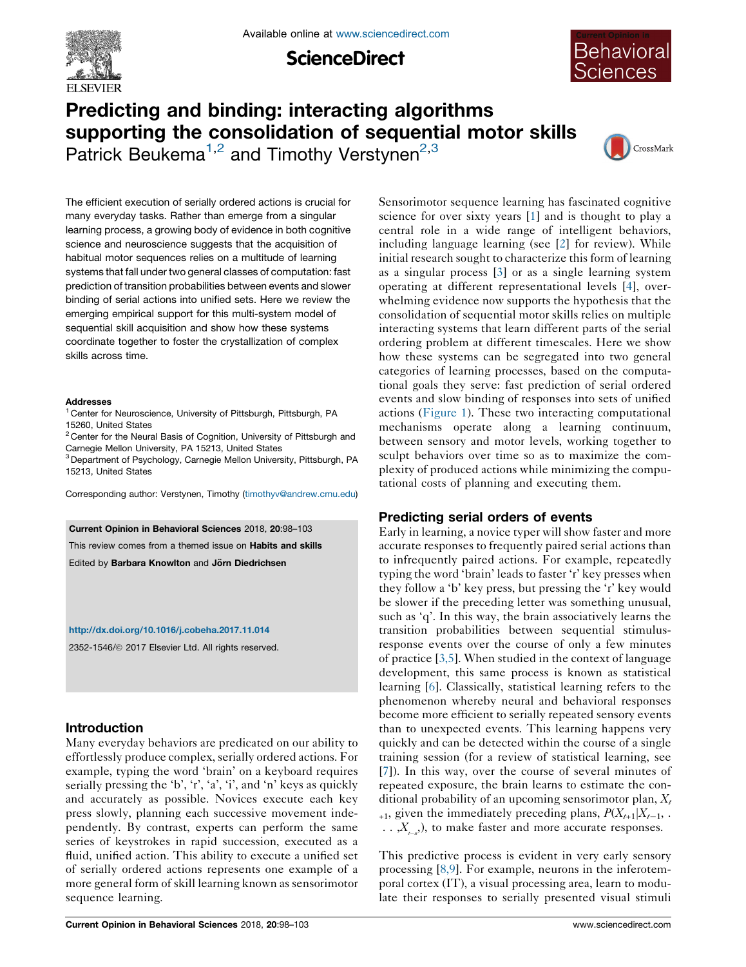

**ScienceDirect** 



# Predicting and binding: interacting algorithms supporting the consolidation of sequential motor skills

Patrick Beukema<sup>1,2</sup> and Timothy Verstynen<sup>2,3</sup>



The efficient execution of serially ordered actions is crucial for many everyday tasks. Rather than emerge from a singular learning process, a growing body of evidence in both cognitive science and neuroscience suggests that the acquisition of habitual motor sequences relies on a multitude of learning systems that fall under two general classes of computation: fast prediction of transition probabilities between events and slower binding of serial actions into unified sets. Here we review the emerging empirical support for this multi-system model of sequential skill acquisition and show how these systems coordinate together to foster the crystallization of complex skills across time.

#### Addresses

<sup>1</sup> Center for Neuroscience, University of Pittsburgh, Pittsburgh, PA 15260, United States

 $2$  Center for the Neural Basis of Cognition, University of Pittsburgh and Carnegie Mellon University, PA 15213, United States

<sup>3</sup> Department of Psychology, Carnegie Mellon University, Pittsburgh, PA 15213, United States

Corresponding author: Verstynen, Timothy [\(timothyv@andrew.cmu.edu](mailto:timothyv@andrew.cmu.edu))

#### Current Opinion in Behavioral Sciences 2018, 20:98–103

This review comes from a themed issue on Habits and skills

Edited by Barbara Knowlton and Jörn Diedrichsen

### <http://dx.doi.org/10.1016/j.cobeha.2017.11.014>

2352-1546/ã 2017 Elsevier Ltd. All rights reserved.

# Introduction

Many everyday behaviors are predicated on our ability to effortlessly produce complex, serially ordered actions. For example, typing the word 'brain' on a keyboard requires serially pressing the 'b', 'r', 'a', 'i', and 'n' keys as quickly and accurately as possible. Novices execute each key press slowly, planning each successive movement independently. By contrast, experts can perform the same series of keystrokes in rapid succession, executed as a fluid, unified action. This ability to execute a unified set of serially ordered actions represents one example of a more general form of skill learning known as sensorimotor sequence learning.

Sensorimotor sequence learning has fascinated cognitive science for over sixty years [\[1](#page-4-0)] and is thought to play a central role in a wide range of intelligent behaviors, including language learning (see [[2\]](#page-4-0) for review). While initial research sought to characterize this form of learning as a singular process [\[3](#page-4-0)] or as a single learning system operating at different representational levels [\[4](#page-4-0)], overwhelming evidence now supports the hypothesis that the consolidation of sequential motor skills relies on multiple interacting systems that learn different parts of the serial ordering problem at different timescales. Here we show how these systems can be segregated into two general categories of learning processes, based on the computational goals they serve: fast prediction of serial ordered events and slow binding of responses into sets of unified actions [\(Figure](#page-1-0) 1). These two interacting computational mechanisms operate along a learning continuum, between sensory and motor levels, working together to sculpt behaviors over time so as to maximize the complexity of produced actions while minimizing the computational costs of planning and executing them.

# Predicting serial orders of events

Early in learning, a novice typer will show faster and more accurate responses to frequently paired serial actions than to infrequently paired actions. For example, repeatedly typing the word 'brain' leads to faster 'r' key presses when they follow a 'b' key press, but pressing the 'r' key would be slower if the preceding letter was something unusual, such as 'q'. In this way, the brain associatively learns the transition probabilities between sequential stimulusresponse events over the course of only a few minutes of practice [[3,5](#page-4-0)]. When studied in the context of language development, this same process is known as statistical learning [\[6](#page-4-0)]. Classically, statistical learning refers to the phenomenon whereby neural and behavioral responses become more efficient to serially repeated sensory events than to unexpected events. This learning happens very quickly and can be detected within the course of a single training session (for a review of statistical learning, see [\[7](#page-4-0)]). In this way, over the course of several minutes of repeated exposure, the brain learns to estimate the conditional probability of an upcoming sensorimotor plan,  $X_t$  $_{+1}$ , given the immediately preceding plans,  $P(X_{t+1}|X_{t-1}, \ldots)$  $\ldots$ ,  $X_{t-n}$ , to make faster and more accurate responses.

This predictive process is evident in very early sensory processing [[8,9](#page-4-0)]. For example, neurons in the inferotemporal cortex (IT), a visual processing area, learn to modulate their responses to serially presented visual stimuli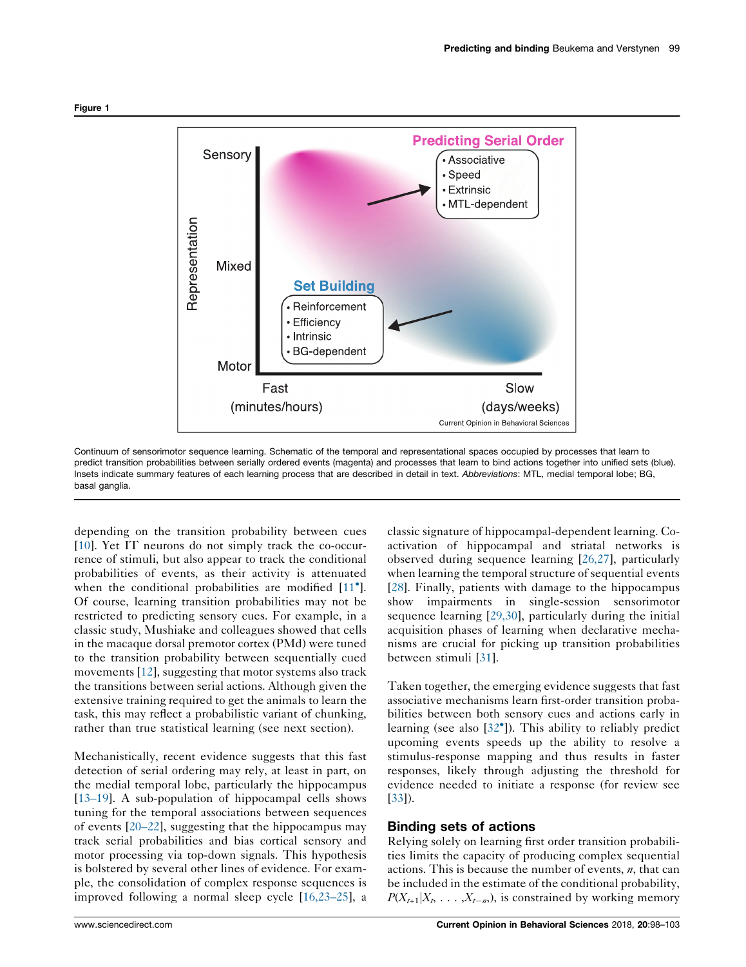<span id="page-1-0"></span>

Continuum of sensorimotor sequence learning. Schematic of the temporal and representational spaces occupied by processes that learn to predict transition probabilities between serially ordered events (magenta) and processes that learn to bind actions together into unified sets (blue). Insets indicate summary features of each learning process that are described in detail in text. Abbreviations: MTL, medial temporal lobe; BG, basal ganglia.

depending on the transition probability between cues [\[10](#page-4-0)]. Yet IT neurons do not simply track the co-occurrence of stimuli, but also appear to track the conditional probabilities of events, as their activity is attenuated when the conditional probabilities are modified [[11](#page-4-0)<sup>°</sup>]. Of course, learning transition probabilities may not be restricted to predicting sensory cues. For example, in a classic study, Mushiake and colleagues showed that cells in the macaque dorsal premotor cortex (PMd) were tuned to the transition probability between sequentially cued movements [[12\]](#page-4-0), suggesting that motor systems also track the transitions between serial actions. Although given the extensive training required to get the animals to learn the task, this may reflect a probabilistic variant of chunking, rather than true statistical learning (see next section).

Mechanistically, recent evidence suggests that this fast detection of serial ordering may rely, at least in part, on the medial temporal lobe, particularly the hippocampus [\[13–19](#page-4-0)]. A sub-population of hippocampal cells shows tuning for the temporal associations between sequences of events [\[20–22](#page-4-0)], suggesting that the hippocampus may track serial probabilities and bias cortical sensory and motor processing via top-down signals. This hypothesis is bolstered by several other lines of evidence. For example, the consolidation of complex response sequences is improved following a normal sleep cycle [[16,23–25](#page-4-0)], a

classic signature of hippocampal-dependent learning. Coactivation of hippocampal and striatal networks is observed during sequence learning [\[26,27\]](#page-5-0), particularly when learning the temporal structure of sequential events [[28](#page-5-0)]. Finally, patients with damage to the hippocampus show impairments in single-session sensorimotor sequence learning [[29,30](#page-5-0)], particularly during the initial acquisition phases of learning when declarative mechanisms are crucial for picking up transition probabilities between stimuli [\[31](#page-5-0)].

Taken together, the emerging evidence suggests that fast associative mechanisms learn first-order transition probabilities between both sensory cues and actions early in learning (see also [32<sup>°</sup>]). This ability to [reliably](#page-5-0) predict upcoming events speeds up the ability to resolve a stimulus-response mapping and thus results in faster responses, likely through adjusting the threshold for evidence needed to initiate a response (for review see [[33](#page-5-0)]).

## Binding sets of actions

Relying solely on learning first order transition probabilities limits the capacity of producing complex sequential actions. This is because the number of events,  $n$ , that can be included in the estimate of the conditional probability,  $P(X_{t+1}|X_t, \ldots, X_{t-n})$ , is constrained by working memory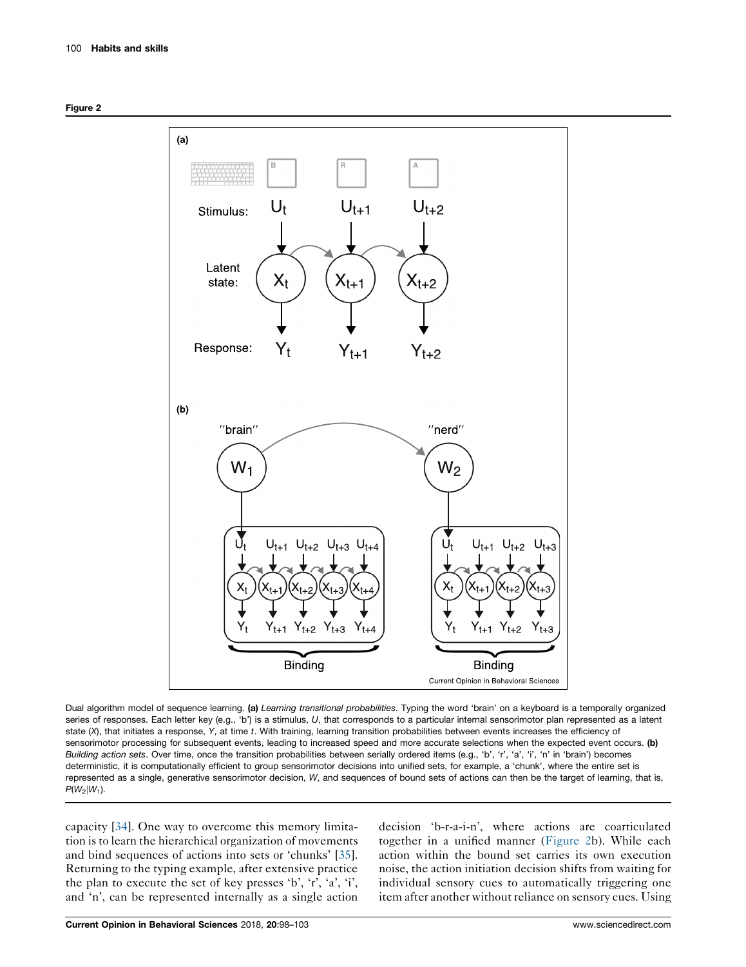



Dual algorithm model of sequence learning. (a) Learning transitional probabilities. Typing the word 'brain' on a keyboard is a temporally organized series of responses. Each letter key (e.g., 'b') is a stimulus, U, that corresponds to a particular internal sensorimotor plan represented as a latent state (X), that initiates a response, Y, at time t. With training, learning transition probabilities between events increases the efficiency of sensorimotor processing for subsequent events, leading to increased speed and more accurate selections when the expected event occurs. (b) Building action sets. Over time, once the transition probabilities between serially ordered items (e.g., 'b', 'r', 'a', 'i', 'n' in 'brain') becomes deterministic, it is computationally efficient to group sensorimotor decisions into unified sets, for example, a 'chunk', where the entire set is represented as a single, generative sensorimotor decision, W, and sequences of bound sets of actions can then be the target of learning, that is,  $P(W_2|W_1)$ .

capacity [[34\]](#page-5-0). One way to overcome this memory limitation is to learn the hierarchical organization of movements and bind sequences of actions into sets or 'chunks' [\[35](#page-5-0)]. Returning to the typing example, after extensive practice the plan to execute the set of key presses 'b', 'r', 'a', 'i', and 'n', can be represented internally as a single action

decision 'b-r-a-i-n', where actions are coarticulated together in a unified manner (Figure 2b). While each action within the bound set carries its own execution noise, the action initiation decision shifts from waiting for individual sensory cues to automatically triggering one item after another without reliance on sensory cues. Using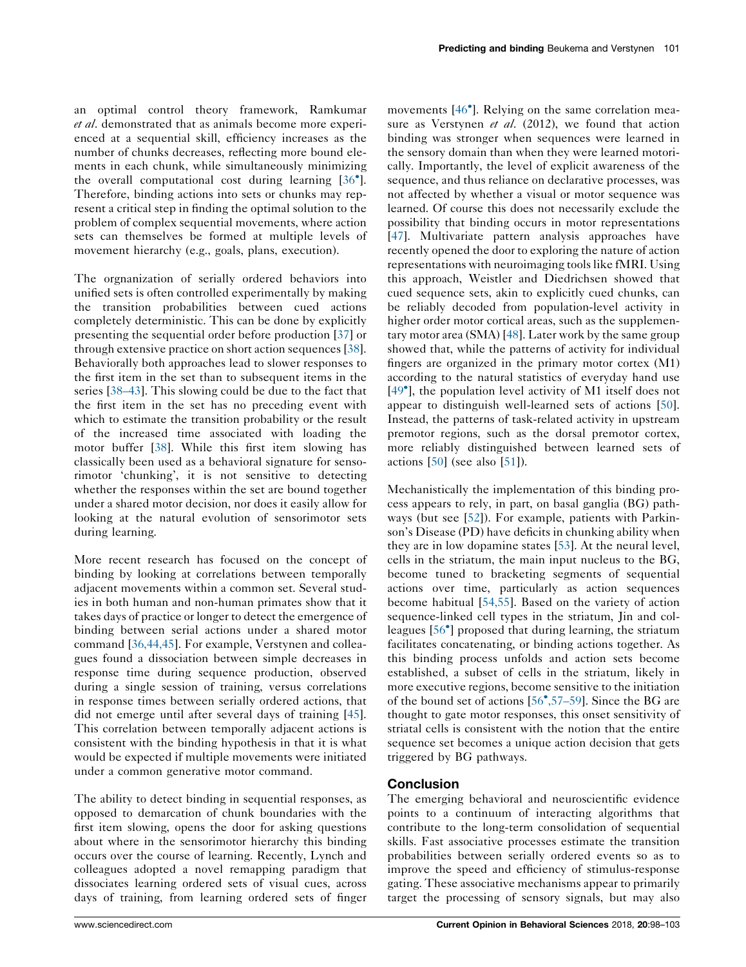an optimal control theory framework, Ramkumar et al. demonstrated that as animals become more experienced at a sequential skill, efficiency increases as the number of chunks decreases, reflecting more bound elements in each chunk, while simultaneously minimizing the overall computational cost during learning [[36](#page-5-0) ]. Therefore, binding actions into sets or chunks may represent a critical step in finding the optimal solution to the problem of complex sequential movements, where action sets can themselves be formed at multiple levels of movement hierarchy (e.g., goals, plans, execution).

The orgnanization of serially ordered behaviors into unified sets is often controlled experimentally by making the transition probabilities between cued actions completely deterministic. This can be done by explicitly presenting the sequential order before production [\[37](#page-5-0)] or through extensive practice on short action sequences [\[38](#page-5-0)]. Behaviorally both approaches lead to slower responses to the first item in the set than to subsequent items in the series [[38–43\]](#page-5-0). This slowing could be due to the fact that the first item in the set has no preceding event with which to estimate the transition probability or the result of the increased time associated with loading the motor buffer [\[38](#page-5-0)]. While this first item slowing has classically been used as a behavioral signature for sensorimotor 'chunking', it is not sensitive to detecting whether the responses within the set are bound together under a shared motor decision, nor does it easily allow for looking at the natural evolution of sensorimotor sets during learning.

More recent research has focused on the concept of binding by looking at correlations between temporally adjacent movements within a common set. Several studies in both human and non-human primates show that it takes days of practice or longer to detect the emergence of binding between serial actions under a shared motor command [\[36,44,45](#page-5-0)]. For example, Verstynen and colleagues found a dissociation between simple decreases in response time during sequence production, observed during a single session of training, versus correlations in response times between serially ordered actions, that did not emerge until after several days of training [\[45](#page-5-0)]. This correlation between temporally adjacent actions is consistent with the binding hypothesis in that it is what would be expected if multiple movements were initiated under a common generative motor command.

The ability to detect binding in sequential responses, as opposed to demarcation of chunk boundaries with the first item slowing, opens the door for asking questions about where in the sensorimotor hierarchy this binding occurs over the course of learning. Recently, Lynch and colleagues adopted a novel remapping paradigm that dissociates learning ordered sets of visual cues, across days of training, from learning ordered sets of finger

movements [46 ]. Relying on the same [correlation](#page-5-0) measure as Verstynen et al. (2012), we found that action binding was stronger when sequences were learned in the sensory domain than when they were learned motorically. Importantly, the level of explicit awareness of the sequence, and thus reliance on declarative processes, was not affected by whether a visual or motor sequence was learned. Of course this does not necessarily exclude the possibility that binding occurs in motor representations [[47](#page-5-0)]. Multivariate pattern analysis approaches have recently opened the door to exploring the nature of action representations with neuroimaging toolslike fMRI. Using this approach, Weistler and Diedrichsen showed that cued sequence sets, akin to explicitly cued chunks, can be reliably decoded from population-level activity in higher order motor cortical areas, such as the supplementary motor area (SMA) [\[48](#page-5-0)]. Later work by the same group showed that, while the patterns of activity for individual fingers are organized in the primary motor cortex (M1) according to the natural statistics of everyday hand use [49 ], the [population](#page-5-0) level activity of M1 itself does not appear to distinguish well-learned sets of actions [[50\]](#page-5-0). Instead, the patterns of task-related activity in upstream premotor regions, such as the dorsal premotor cortex, more reliably distinguished between learned sets of actions  $[50]$  $[50]$  (see also  $[51]$  $[51]$ ).

Mechanistically the implementation of this binding process appears to rely, in part, on basal ganglia (BG) pathways (but see [\[52](#page-5-0)]). For example, patients with Parkinson's Disease (PD) have deficits in chunking ability when they are in low dopamine states [\[53](#page-5-0)]. At the neural level, cells in the striatum, the main input nucleus to the BG, become tuned to bracketing segments of sequential actions over time, particularly as action sequences become habitual [\[54,55\]](#page-5-0). Based on the variety of action sequence-linked cell types in the striatum, Jin and colleagues [56 ] [proposed](#page-5-0) that during learning, the striatum facilitates concatenating, or binding actions together. As this binding process unfolds and action sets become established, a subset of cells in the striatum, likely in more executive regions, become sensitive to the initiation of the bound set of actions [56 [,57–59\]](#page-5-0). Since the BG are thought to gate motor responses, this onset sensitivity of striatal cells is consistent with the notion that the entire sequence set becomes a unique action decision that gets triggered by BG pathways.

# Conclusion

The emerging behavioral and neuroscientific evidence points to a continuum of interacting algorithms that contribute to the long-term consolidation of sequential skills. Fast associative processes estimate the transition probabilities between serially ordered events so as to improve the speed and efficiency of stimulus-response gating. These associative mechanisms appear to primarily target the processing of sensory signals, but may also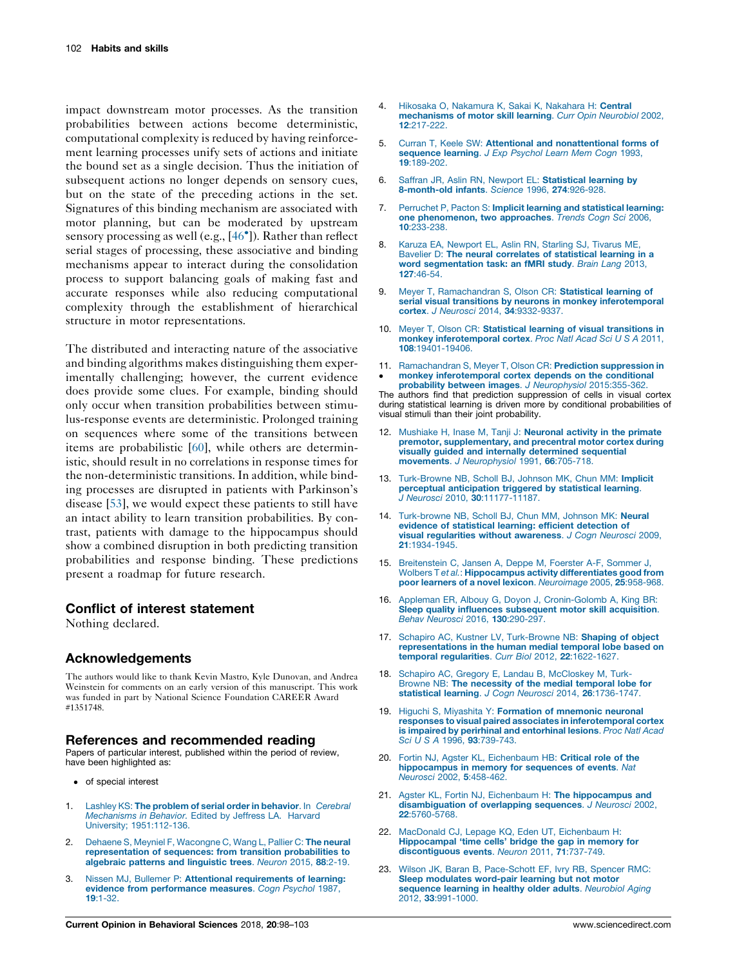<span id="page-4-0"></span>impact downstream motor processes. As the transition probabilities between actions become deterministic, computational complexity is reduced by having reinforcement learning processes unify sets of actions and initiate the bound set as a single decision. Thus the initiation of subsequent actions no longer depends on sensory cues, but on the state of the preceding actions in the set. Signatures of this binding mechanism are associated with motor planning, but can be moderated by upstream sensory processing as well (e.g., [46 ]). [Rather](#page-5-0) than reflect serial stages of processing, these associative and binding mechanisms appear to interact during the consolidation process to support balancing goals of making fast and accurate responses while also reducing computational complexity through the establishment of hierarchical structure in motor representations.

The distributed and interacting nature of the associative and binding algorithms makes distinguishing them experimentally challenging; however, the current evidence does provide some clues. For example, binding should only occur when transition probabilities between stimulus-response events are deterministic. Prolonged training on sequences where some of the transitions between items are probabilistic [[60\]](#page-5-0), while others are deterministic, should result in no correlations in response times for the non-deterministic transitions. In addition, while binding processes are disrupted in patients with Parkinson's disease [\[53](#page-5-0)], we would expect these patients to still have an intact ability to learn transition probabilities. By contrast, patients with damage to the hippocampus should show a combined disruption in both predicting transition probabilities and response binding. These predictions present a roadmap for future research.

## Conflict of interest statement

Nothing declared.

## Acknowledgements

The authors would like to thank Kevin Mastro, Kyle Dunovan, and Andrea Weinstein for comments on an early version of this manuscript. This work was funded in part by National Science Foundation CAREER Award #1351748.

### References and recommended reading

Papers of particular interest, published within the period of review, have been highlighted as:

- of special interest
- 1. Lashley KS: The problem of serial order in [behavior](http://refhub.elsevier.com/S2352-1546(17)30137-7/sbref0305). In Cerebral [Mechanisms](http://refhub.elsevier.com/S2352-1546(17)30137-7/sbref0305) in Behavior. Edited by Jeffress LA. Harvard University; [1951:112-136](http://refhub.elsevier.com/S2352-1546(17)30137-7/sbref0305).
- 2. Dehaene S, Meyniel F, [Wacongne](http://refhub.elsevier.com/S2352-1546(17)30137-7/sbref0310) C, Wang L, Pallier C: The neural [representation](http://refhub.elsevier.com/S2352-1546(17)30137-7/sbref0310) of sequences: from transition probabilities to [algebraic](http://refhub.elsevier.com/S2352-1546(17)30137-7/sbref0310) patterns and linguistic trees. Neuron 2015, 88:2-19.
- 3. Nissen MJ, Bullemer P: Attentional [requirements](http://refhub.elsevier.com/S2352-1546(17)30137-7/sbref0315) of learning: evidence from [performance](http://refhub.elsevier.com/S2352-1546(17)30137-7/sbref0315) measures. Cogn Psychol 1987, 19[:1-32.](http://refhub.elsevier.com/S2352-1546(17)30137-7/sbref0315)
- 4. Hikosaka O, [Nakamura](http://refhub.elsevier.com/S2352-1546(17)30137-7/sbref0320) K, Sakai K, Nakahara H: Central [mechanisms](http://refhub.elsevier.com/S2352-1546(17)30137-7/sbref0320) of motor skill learning. Curr Opin Neurobiol 2002, 12[:217-222.](http://refhub.elsevier.com/S2352-1546(17)30137-7/sbref0320)
- 5. Curran T, Keele SW: Attentional and [nonattentional](http://refhub.elsevier.com/S2352-1546(17)30137-7/sbref0325) forms of [sequence](http://refhub.elsevier.com/S2352-1546(17)30137-7/sbref0325) learning. J Exp Psychol Learn Mem Cogn 1993, 19[:189-202.](http://refhub.elsevier.com/S2352-1546(17)30137-7/sbref0325)
- 6. Saffran JR, Aslin RN, Newport EL: [Statistical](http://refhub.elsevier.com/S2352-1546(17)30137-7/sbref0330) learning by [8-month-old](http://refhub.elsevier.com/S2352-1546(17)30137-7/sbref0330) infants. Science 1996, 274:926-928.
- 7. Perruchet P, Pacton S: Implicit learning and [statistical](http://refhub.elsevier.com/S2352-1546(17)30137-7/sbref0335) learning: one [phenomenon,](http://refhub.elsevier.com/S2352-1546(17)30137-7/sbref0335) two approaches. Trends Cogn Sci 2006, 10[:233-238.](http://refhub.elsevier.com/S2352-1546(17)30137-7/sbref0335)
- 8. Karuza EA, [Newport](http://refhub.elsevier.com/S2352-1546(17)30137-7/sbref0340) EL, Aslin RN, Starling SJ, Tivarus ME, Bavelier D: The neural [correlates](http://refhub.elsevier.com/S2352-1546(17)30137-7/sbref0340) of statistical learning in a word [segmentation](http://refhub.elsevier.com/S2352-1546(17)30137-7/sbref0340) task: an fMRI study. Brain Lang 2013, 127[:46-54.](http://refhub.elsevier.com/S2352-1546(17)30137-7/sbref0340)
- 9. Meyer T, [Ramachandran](http://refhub.elsevier.com/S2352-1546(17)30137-7/sbref0345) S, Olson CR: Statistical learning of serial visual transitions by neurons in monkey [inferotemporal](http://refhub.elsevier.com/S2352-1546(17)30137-7/sbref0345) cortex. J Neurosci 2014, 34[:9332-9337.](http://refhub.elsevier.com/S2352-1546(17)30137-7/sbref0345)
- 10. Meyer T, Olson CR: Statistical learning of visual [transitions](http://refhub.elsevier.com/S2352-1546(17)30137-7/sbref0350) in monkey [inferotemporal](http://refhub.elsevier.com/S2352-1546(17)30137-7/sbref0350) cortex. Proc Natl Acad Sci U S A 2011, 108[:19401-19406.](http://refhub.elsevier.com/S2352-1546(17)30137-7/sbref0350)
- 11. [Ramachandran](http://refhub.elsevier.com/S2352-1546(17)30137-7/sbref0055) S, Meyer T, Olson CR: Prediction suppression in  $\bullet$ monkey [inferotemporal](http://refhub.elsevier.com/S2352-1546(17)30137-7/sbref0055) cortex depends on the conditional probability between images. J Neurophysiol [2015:355-362.](http://refhub.elsevier.com/S2352-1546(17)30137-7/sbref0055)

The authors find that prediction suppression of cells in visual cortex during statistical learning is driven more by conditional probabilities of visual stimuli than their joint probability.

- 12. Mushiake H, Inase M, Tanji J: [Neuronal](http://refhub.elsevier.com/S2352-1546(17)30137-7/sbref0355) activity in the primate premotor, [supplementary,](http://refhub.elsevier.com/S2352-1546(17)30137-7/sbref0355) and precentral motor cortex during visually guided and internally [determined](http://refhub.elsevier.com/S2352-1546(17)30137-7/sbref0355) sequential movements. J [Neurophysiol](http://refhub.elsevier.com/S2352-1546(17)30137-7/sbref0355) 1991, 66:705-718.
- 13. [Turk-Browne](http://refhub.elsevier.com/S2352-1546(17)30137-7/sbref0360) NB, Scholl BJ, Johnson MK, Chun MM: Implicit perceptual [anticipation](http://refhub.elsevier.com/S2352-1546(17)30137-7/sbref0360) triggered by statistical learning. J Neurosci 2010, 30[:11177-11187.](http://refhub.elsevier.com/S2352-1546(17)30137-7/sbref0360)
- 14. [Turk-browne](http://refhub.elsevier.com/S2352-1546(17)30137-7/sbref0365) NB, Scholl BJ, Chun MM, Johnson MK: Neural evidence of [statistical](http://refhub.elsevier.com/S2352-1546(17)30137-7/sbref0365) learning: efficient detection of visual [regularities](http://refhub.elsevier.com/S2352-1546(17)30137-7/sbref0365) without awareness. J Cogn Neurosci 2009, 21[:1934-1945.](http://refhub.elsevier.com/S2352-1546(17)30137-7/sbref0365)
- 15. [Breitenstein](http://refhub.elsevier.com/S2352-1546(17)30137-7/sbref0370) C, Jansen A, Deppe M, Foerster A-F, Sommer J, Wolbers T et al.: [Hippocampus](http://refhub.elsevier.com/S2352-1546(17)30137-7/sbref0370) activity differentiates good from poor learners of a novel lexicon. [Neuroimage](http://refhub.elsevier.com/S2352-1546(17)30137-7/sbref0370) 2005, 25:958-968.
- 16. Appleman ER, Albouy G, Doyon J, [Cronin-Golomb](http://refhub.elsevier.com/S2352-1546(17)30137-7/sbref0375) A, King BR: Sleep quality influences [subsequent](http://refhub.elsevier.com/S2352-1546(17)30137-7/sbref0375) motor skill acquisition. Behav Neurosci 2016, 130[:290-297.](http://refhub.elsevier.com/S2352-1546(17)30137-7/sbref0375)
- 17. Schapiro AC, Kustner LV, [Turk-Browne](http://refhub.elsevier.com/S2352-1546(17)30137-7/sbref0380) NB: Shaping of object [representations](http://refhub.elsevier.com/S2352-1546(17)30137-7/sbref0380) in the human medial temporal lobe based on temporal regularities. Curr Biol 2012, 22[:1622-1627.](http://refhub.elsevier.com/S2352-1546(17)30137-7/sbref0380)
- 18. Schapiro AC, Gregory E, Landau B, [McCloskey](http://refhub.elsevier.com/S2352-1546(17)30137-7/sbref0385) M, Turk-Browne NB: The [necessity](http://refhub.elsevier.com/S2352-1546(17)30137-7/sbref0385) of the medial temporal lobe for statistical learning. J Cogn Neurosci 2014, 26[:1736-1747.](http://refhub.elsevier.com/S2352-1546(17)30137-7/sbref0385)
- 19. Higuchi S, Miyashita Y: Formation of [mnemonic](http://refhub.elsevier.com/S2352-1546(17)30137-7/sbref0390) neuronal responses to visual paired associates in [inferotemporal](http://refhub.elsevier.com/S2352-1546(17)30137-7/sbref0390) cortex is impaired by perirhinal and [entorhinal](http://refhub.elsevier.com/S2352-1546(17)30137-7/sbref0390) lesions. Proc Natl Acad Sci U S A 1996, 93[:739-743.](http://refhub.elsevier.com/S2352-1546(17)30137-7/sbref0390)
- 20. Fortin NJ, Agster KL, [Eichenbaum](http://refhub.elsevier.com/S2352-1546(17)30137-7/sbref0395) HB: Critical role of the [hippocampus](http://refhub.elsevier.com/S2352-1546(17)30137-7/sbref0395) in memory for sequences of events. Nat Neurosci 2002, 5[:458-462.](http://refhub.elsevier.com/S2352-1546(17)30137-7/sbref0395)
- 21. Agster KL, Fortin NJ, Eichenbaum H: The [hippocampus](http://refhub.elsevier.com/S2352-1546(17)30137-7/sbref0400) and [disambiguation](http://refhub.elsevier.com/S2352-1546(17)30137-7/sbref0400) of overlapping sequences. J Neurosci 2002, 22[:5760-5768.](http://refhub.elsevier.com/S2352-1546(17)30137-7/sbref0400)
- 22. MacDonald CJ, Lepage KQ, Eden UT, [Eichenbaum](http://refhub.elsevier.com/S2352-1546(17)30137-7/sbref0405) H: [Hippocampal](http://refhub.elsevier.com/S2352-1546(17)30137-7/sbref0405) 'time cells' bridge the gap in memory for [discontiguous](http://refhub.elsevier.com/S2352-1546(17)30137-7/sbref0405) events. Neuron 2011, 71:737-749.
- 23. Wilson JK, Baran B, [Pace-Schott](http://refhub.elsevier.com/S2352-1546(17)30137-7/sbref0410) EF, Ivry RB, Spencer RMC: Sleep [modulates](http://refhub.elsevier.com/S2352-1546(17)30137-7/sbref0410) word-pair learning but not motor [sequence](http://refhub.elsevier.com/S2352-1546(17)30137-7/sbref0410) learning in healthy older adults. Neurobiol Aging 2012, 33[:991-1000.](http://refhub.elsevier.com/S2352-1546(17)30137-7/sbref0410)